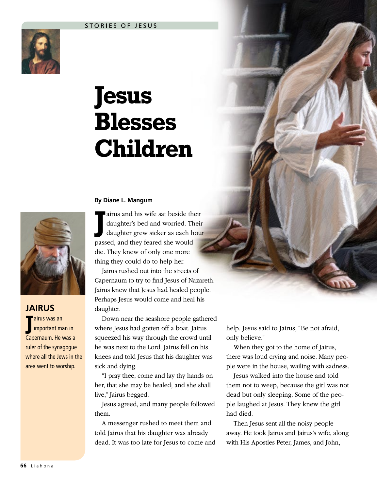

## **Jesus Blesses Children**

## **By Diane L. Mangum**



**JAIRUS J** airus was an important man in Capernaum. He was a ruler of the synagogue where all the Jews in the area went to worship.

**J** airus and his wife sat beside their daughter's bed and worried. Their daughter grew sicker as each hour passed, and they feared she would die. They knew of only one more thing they could do to help her.

Jairus rushed out into the streets of Capernaum to try to find Jesus of Nazareth. Jairus knew that Jesus had healed people. Perhaps Jesus would come and heal his daughter.

Down near the seashore people gathered where Jesus had gotten off a boat. Jairus squeezed his way through the crowd until he was next to the Lord. Jairus fell on his knees and told Jesus that his daughter was sick and dying.

"I pray thee, come and lay thy hands on her, that she may be healed; and she shall live," Jairus begged.

Jesus agreed, and many people followed them.

A messenger rushed to meet them and told Jairus that his daughter was already dead. It was too late for Jesus to come and help. Jesus said to Jairus, "Be not afraid, only believe."

When they got to the home of Jairus, there was loud crying and noise. Many people were in the house, wailing with sadness.

Jesus walked into the house and told them not to weep, because the girl was not dead but only sleeping. Some of the people laughed at Jesus. They knew the girl had died.

Then Jesus sent all the noisy people away. He took Jairus and Jairus's wife, along with His Apostles Peter, James, and John,